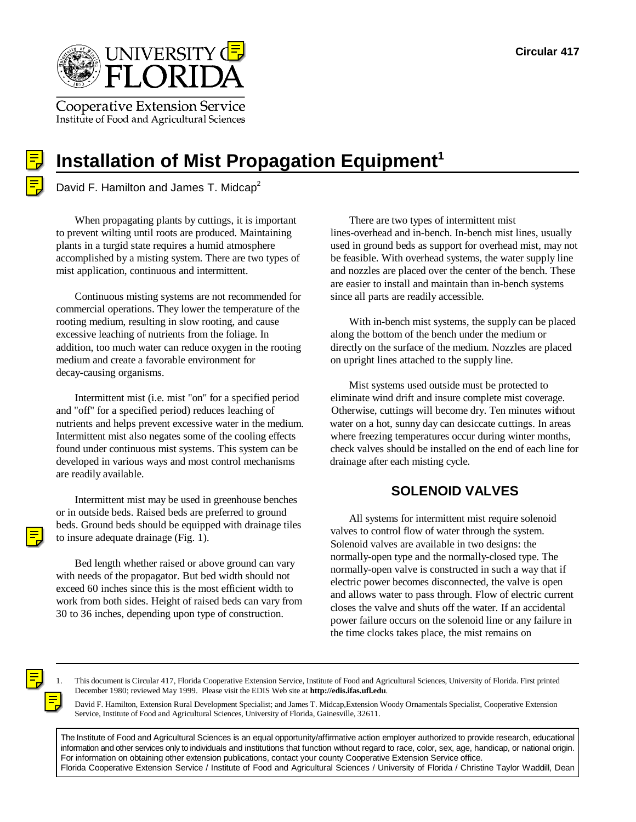

**Cooperative Extension Service** Institute of Food and Agricultural Sciences



# **Installation of Mist Propagation Equipment<sup>1</sup>**

David F. Hamilton and James T. Midcap<sup>2</sup>

When propagating plants by cuttings, it is important There are two types of intermittent mist to prevent wilting until roots are produced. Maintaining lines-overhead and in-bench. In-bench mist lines, usually accomplished by a misting system. There are two types of be feasible. With overhead systems, the water supply line

Continuous misting systems are not recommended for since all parts are readily accessible. commercial operations. They lower the temperature of the rooting medium, resulting in slow rooting, and cause With in-bench mist systems, the supply can be placed excessive leaching of nutrients from the foliage. In along the bottom of the bench under the medium or addition, too much water can reduce oxygen in the rooting directly on the surface of the medium. Nozzles are placed medium and create a favorable environment for on upright lines attached to the supply line. decay-causing organisms.

and "off" for a specified period) reduces leaching of Otherwise, cuttings will become dry. Ten minutes without nutrients and helps prevent excessive water in the medium. water on a hot, sunny day can desiccate cuttings. In areas Intermittent mist also negates some of the cooling effects where freezing temperatures occur during winter months, developed in various ways and most control mechanisms drainage after each misting cycle. are readily available.

Intermittent mist may be used in greenhouse benches or in outside beds. Raised beds are preferred to ground beds. Ground beds should be equipped with drainage tiles to insure adequate drainage (Fig. 1).

Bed length whether raised or above ground can vary with needs of the propagator. But bed width should not exceed 60 inches since this is the most efficient width to work from both sides. Height of raised beds can vary from 30 to 36 inches, depending upon type of construction.

plants in a turgid state requires a humid atmosphere used in ground beds as support for overhead mist, may not mist application, continuous and intermittent. and nozzles are placed over the center of the bench. These are easier to install and maintain than in-bench systems

Intermittent mist (i.e. mist "on" for a specified period eliminate wind drift and insure complete mist coverage. found under continuous mist systems. This system can be check valves should be installed on the end of each line for Mist systems used outside must be protected to

## **SOLENOID VALVES**

All systems for intermittent mist require solenoid valves to control flow of water through the system. Solenoid valves are available in two designs: the normally-open type and the normally-closed type. The normally-open valve is constructed in such a way that if electric power becomes disconnected, the valve is open and allows water to pass through. Flow of electric current closes the valve and shuts off the water. If an accidental power failure occurs on the solenoid line or any failure in the time clocks takes place, the mist remains on

1. This document is Circular 417, Florida Cooperative Extension Service, Institute of Food and Agricultural Sciences, University of Florida. First printed December 1980; reviewed May 1999. Please visit the EDIS Web site at **http://edis.ifas.ufl.edu**.

2. David F. Hamilton, Extension Rural Development Specialist; and James T. Midcap,Extension Woody Ornamentals Specialist, Cooperative Extension Service, Institute of Food and Agricultural Sciences, University of Florida, Gainesville, 32611.

The Institute of Food and Agricultural Sciences is an equal opportunity/affirmative action employer authorized to provide research, educational information and other services only to individuals and institutions that function without regard to race, color, sex, age, handicap, or national origin. For information on obtaining other extension publications, contact your county Cooperative Extension Service office. Florida Cooperative Extension Service / Institute of Food and Agricultural Sciences / University of Florida / Christine Taylor Waddill, Dean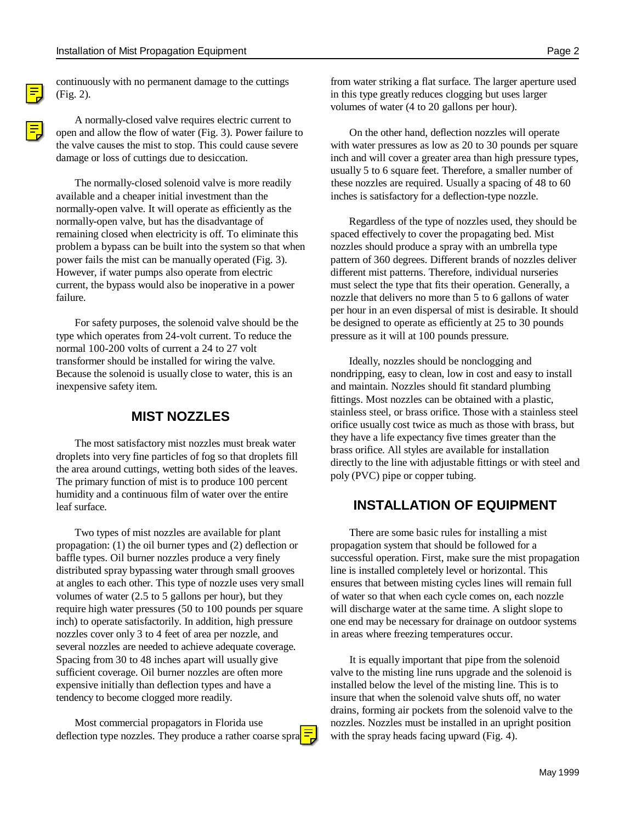(Fig. 2). in this type greatly reduces clogging but uses larger

A normally-closed valve requires electric current to open and allow the flow of water (Fig. 3). Power failure to On the other hand, deflection nozzles will operate

available and a cheaper initial investment than the inches is satisfactory for a deflection-type nozzle. normally-open valve. It will operate as efficiently as the normally-open valve, but has the disadvantage of Regardless of the type of nozzles used, they should be remaining closed when electricity is off. To eliminate this spaced effectively to cover the propagating bed. Mist problem a bypass can be built into the system so that when nozzles should produce a spray with an umbrella type power fails the mist can be manually operated (Fig. 3). pattern of 360 degrees. Different brands of nozzles deliver However, if water pumps also operate from electric different mist patterns. Therefore, individual nurseries current, the bypass would also be inoperative in a power must select the type that fits their operation. Generally, a failure. The model is a more than 5 to 6 gallons of water

type which operates from 24-volt current. To reduce the pressure as it will at 100 pounds pressure. normal 100-200 volts of current a 24 to 27 volt transformer should be installed for wiring the valve. Ideally, nozzles should be nonclogging and Because the solenoid is usually close to water, this is an nondripping, easy to clean, low in cost and easy to install inexpensive safety item. and maintain. Nozzles should fit standard plumbing

The most satisfactory mist nozzles must break water droplets into very fine particles of fog so that droplets fill the area around cuttings, wetting both sides of the leaves. The primary function of mist is to produce 100 percent humidity and a continuous film of water over the entire leaf surface.

Two types of mist nozzles are available for plant There are some basic rules for installing a mist propagation: (1) the oil burner types and (2) deflection or propagation system that should be followed for a distributed spray bypassing water through small grooves line is installed completely level or horizontal. This at angles to each other. This type of nozzle uses very small ensures that between misting cycles lines will remain full volumes of water (2.5 to 5 gallons per hour), but they of water so that when each cycle comes on, each nozzle require high water pressures (50 to 100 pounds per square will discharge water at the same time. A slight slope to inch) to operate satisfactorily. In addition, high pressure one end may be necessary for drainage on outdoor systems nozzles cover only 3 to 4 feet of area per nozzle, and in areas where freezing temperatures occur. several nozzles are needed to achieve adequate coverage. Spacing from 30 to 48 inches apart will usually give It is equally important that pipe from the solenoid sufficient coverage. Oil burner nozzles are often more valve to the misting line runs upgrade and the solenoid is expensive initially than deflection types and have a installed below the level of the misting line. This is to tendency to become clogged more readily. insure that when the solenoid valve shuts off, no water

deflection type nozzles. They produce a rather coarse spra $\frac{1}{2}$  with the spray heads facing upward (Fig. 4).

continuously with no permanent damage to the cuttings from water striking a flat surface. The larger aperture used volumes of water (4 to 20 gallons per hour).

the valve causes the mist to stop. This could cause severe with water pressures as low as 20 to 30 pounds per square damage or loss of cuttings due to desiccation.  $\qquad \qquad$  inch and will cover a greater area than high pressure types, The normally-closed solenoid valve is more readily these nozzles are required. Usually a spacing of 48 to 60 usually 5 to 6 square feet. Therefore, a smaller number of

For safety purposes, the solenoid valve should be the be designed to operate as efficiently at 25 to 30 pounds per hour in an even dispersal of mist is desirable. It should

> **MIST NOZZLES** stainless steel, or brass orifice. Those with a stainless steel fittings. Most nozzles can be obtained with a plastic, orifice usually cost twice as much as those with brass, but they have a life expectancy five times greater than the brass orifice. All styles are available for installation directly to the line with adjustable fittings or with steel and poly (PVC) pipe or copper tubing.

## **INSTALLATION OF EQUIPMENT**

baffle types. Oil burner nozzles produce a very finely successful operation. First, make sure the mist propagation

Most commercial propagators in Florida use nozzles. Nozzles must be installed in an upright position drains, forming air pockets from the solenoid valve to the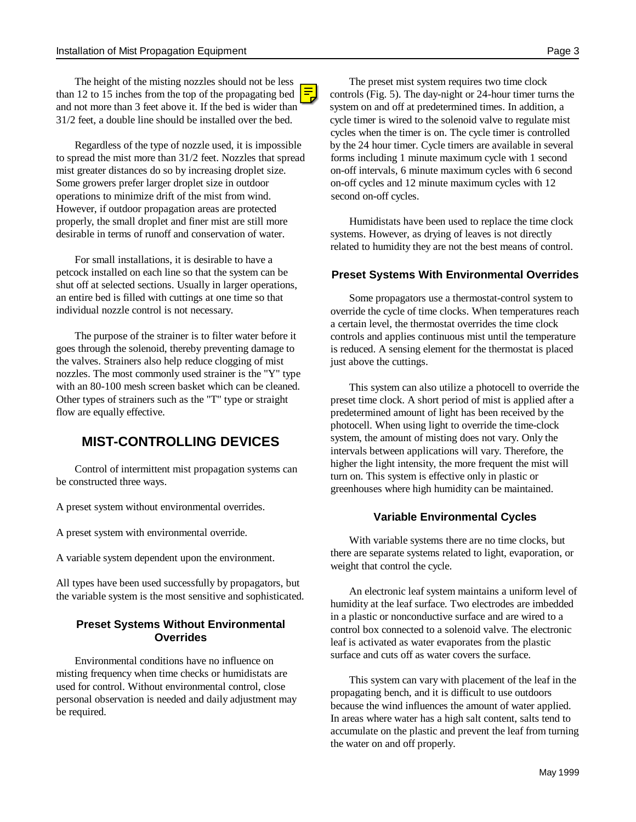The height of the misting nozzles should not be less The preset mist system requires two time clock than 12 to 15 inches from the top of the propagating bed  $\overline{\phantom{a}}$  controls (Fig. 5). The day-night or 24-hour timer turns the and not more than 3 feet above it. If the bed is wider than system on and off at predetermined times. In addition, a  $31/2$  feet, a double line should be installed over the bed. cycle timer is wired to the solenoid valve t

to spread the mist more than  $31/2$  feet. Nozzles that spread forms including 1 minute maximum cycle with 1 second mist greater distances do so by increasing droplet size. on-off intervals, 6 minute maximum cycles with 6 second Some growers prefer larger droplet size in outdoor on-off cycles and 12 minute maximum cycles with 12 operations to minimize drift of the mist from wind. second on-off cycles. However, if outdoor propagation areas are protected properly, the small droplet and finer mist are still more Humidistats have been used to replace the time clock desirable in terms of runoff and conservation of water. systems. However, as drying of leaves is not directly

For small installations, it is desirable to have a petcock installed on each line so that the system can be shut off at selected sections. Usually in larger operations, an entire bed is filled with cuttings at one time so that individual nozzle control is not necessary.

The purpose of the strainer is to filter water before it goes through the solenoid, thereby preventing damage to the valves. Strainers also help reduce clogging of mist nozzles. The most commonly used strainer is the "Y" type with an 80-100 mesh screen basket which can be cleaned. Other types of strainers such as the "T" type or straight flow are equally effective.

## **MIST-CONTROLLING DEVICES**

Control of intermittent mist propagation systems can be constructed three ways.

A preset system without environmental overrides.

A preset system with environmental override.

A variable system dependent upon the environment.

All types have been used successfully by propagators, but the variable system is the most sensitive and sophisticated.

### **Preset Systems Without Environmental Overrides**

Environmental conditions have no influence on misting frequency when time checks or humidistats are used for control. Without environmental control, close personal observation is needed and daily adjustment may be required.

cycle timer is wired to the solenoid valve to regulate mist Regardless of the type of nozzle used, it is impossible by the 24 hour timer. Cycle timers are available in several cycles when the timer is on. The cycle timer is controlled

related to humidity they are not the best means of control.

### **Preset Systems With Environmental Overrides**

Some propagators use a thermostat-control system to override the cycle of time clocks. When temperatures reach a certain level, the thermostat overrides the time clock controls and applies continuous mist until the temperature is reduced. A sensing element for the thermostat is placed just above the cuttings.

This system can also utilize a photocell to override the preset time clock. A short period of mist is applied after a predetermined amount of light has been received by the photocell. When using light to override the time-clock system, the amount of misting does not vary. Only the intervals between applications will vary. Therefore, the higher the light intensity, the more frequent the mist will turn on. This system is effective only in plastic or greenhouses where high humidity can be maintained.

### **Variable Environmental Cycles**

With variable systems there are no time clocks, but there are separate systems related to light, evaporation, or weight that control the cycle.

An electronic leaf system maintains a uniform level of humidity at the leaf surface. Two electrodes are imbedded in a plastic or nonconductive surface and are wired to a control box connected to a solenoid valve. The electronic leaf is activated as water evaporates from the plastic surface and cuts off as water covers the surface.

This system can vary with placement of the leaf in the propagating bench, and it is difficult to use outdoors because the wind influences the amount of water applied. In areas where water has a high salt content, salts tend to accumulate on the plastic and prevent the leaf from turning the water on and off properly.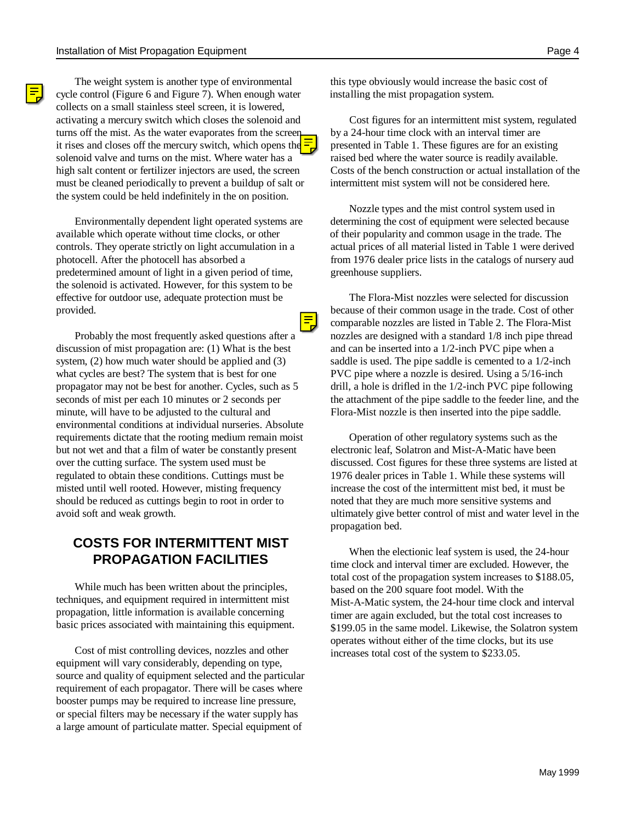The weight system is another type of environmental this type obviously would increase the basic cost of cycle control (Figure 6 and Figure 7). When enough water installing the mist propagation system. collects on a small stainless steel screen, it is lowered, activating a mercury switch which closes the solenoid and Cost figures for an intermittent mist system, regulated turns off the mist. As the water evaporates from the screen, by a 24-hour time clock with an interval timer are it rises and closes off the mercury switch, which opens the  $\frac{1}{2}$  presented in Table 1. These figures are for an existing solenoid valve and turns on the mist. Where water has a raised bed where the water source is readily available. high salt content or fertilizer injectors are used, the screen Costs of the bench construction or actual installation of the must be cleaned periodically to prevent a buildup of salt or intermittent mist system will not be considered here. the system could be held indefinitely in the on position.

available which operate without time clocks, or other of their popularity and common usage in the trade. The controls. They operate strictly on light accumulation in a actual prices of all material listed in Table 1 were derived photocell. After the photocell has absorbed a from 1976 dealer price lists in the catalogs of nursery aud predetermined amount of light in a given period of time, greenhouse suppliers. the solenoid is activated. However, for this system to be effective for outdoor use, adequate protection must be The Flora-Mist nozzles were selected for discussion

discussion of mist propagation are: (1) What is the best and can be inserted into a 1/2-inch PVC pipe when a system, (2) how much water should be applied and (3) saddle is used. The pipe saddle is cemented to a 1/2-inch what cycles are best? The system that is best for one PVC pipe where a nozzle is desired. Using a 5/16-inch propagator may not be best for another. Cycles, such as 5 drill, a hole is drifled in the 1/2-inch PVC pipe following seconds of mist per each 10 minutes or 2 seconds per the attachment of the pipe saddle to the feeder line, and the minute, will have to be adjusted to the cultural and Flora-Mist nozzle is then inserted into the pipe saddle. environmental conditions at individual nurseries. Absolute requirements dictate that the rooting medium remain moist Operation of other regulatory systems such as the but not wet and that a film of water be constantly present electronic leaf, Solatron and Mist-A-Matic have been over the cutting surface. The system used must be discussed. Cost figures for these three systems are listed at regulated to obtain these conditions. Cuttings must be 1976 dealer prices in Table 1. While these systems will misted until well rooted. However, misting frequency increase the cost of the intermittent mist bed, it must be should be reduced as cuttings begin to root in order to noted that they are much more sensitive systems and avoid soft and weak growth. ultimately give better control of mist and water level in the

## **COSTS FOR INTERMITTENT MIST PROPAGATION FACILITIES**

While much has been written about the principles, techniques, and equipment required in intermittent mist propagation, little information is available concerning basic prices associated with maintaining this equipment.

Cost of mist controlling devices, nozzles and other equipment will vary considerably, depending on type, source and quality of equipment selected and the particular requirement of each propagator. There will be cases where booster pumps may be required to increase line pressure, or special filters may be necessary if the water supply has a large amount of particulate matter. Special equipment of

Environmentally dependent light operated systems are determining the cost of equipment were selected because Nozzle types and the mist control system used in

provided.<br> **because of their common usage in the trade.** Cost of other<br>
comparable nozzles are listed in Table 2. The Flora-Mist Probably the most frequently asked questions after a nozzles are designed with a standard 1/8 inch pipe thread comparable nozzles are listed in Table 2. The Flora-Mist

propagation bed.

When the electionic leaf system is used, the 24-hour time clock and interval timer are excluded. However, the total cost of the propagation system increases to \$188.05, based on the 200 square foot model. With the Mist-A-Matic system, the 24-hour time clock and interval timer are again excluded, but the total cost increases to \$199.05 in the same model. Likewise, the Solatron system operates without either of the time clocks, but its use increases total cost of the system to \$233.05.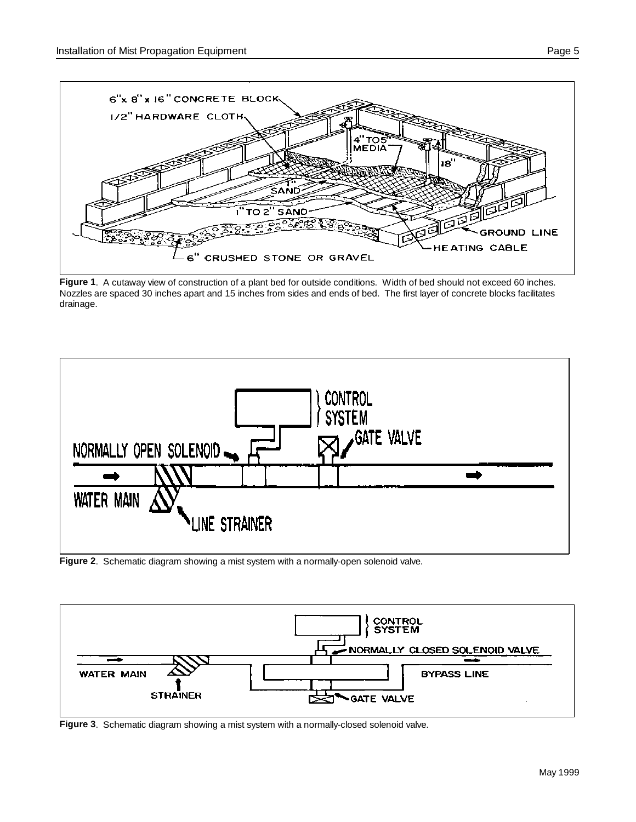

**Figure 1**. A cutaway view of construction of a plant bed for outside conditions. Width of bed should not exceed 60 inches. Nozzles are spaced 30 inches apart and 15 inches from sides and ends of bed. The first layer of concrete blocks facilitates drainage.



**Figure 2**. Schematic diagram showing a mist system with a normally-open solenoid valve.



**Figure 3**. Schematic diagram showing a mist system with a normally-closed solenoid valve.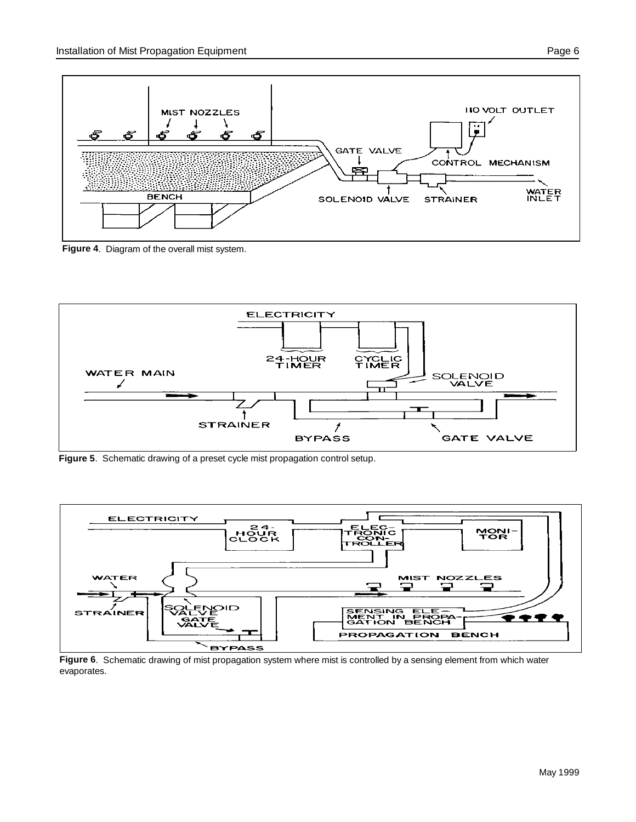

**Figure 4**. Diagram of the overall mist system.



**Figure 5**. Schematic drawing of a preset cycle mist propagation control setup.



**Figure 6**. Schematic drawing of mist propagation system where mist is controlled by a sensing element from which water evaporates.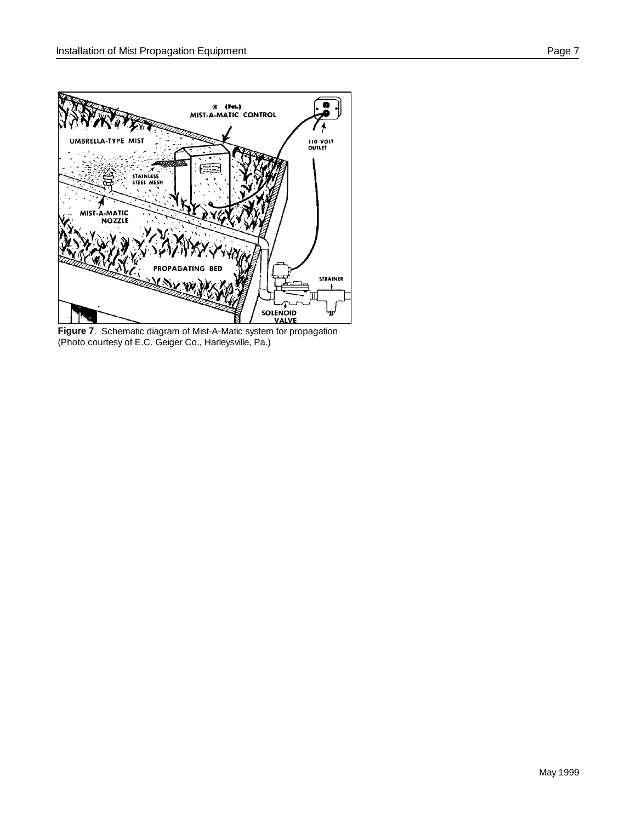

**Figure 7**. Schematic diagram of Mist-A-Matic system for propagation (Photo courtesy of E.C. Geiger Co., Harleysville, Pa.)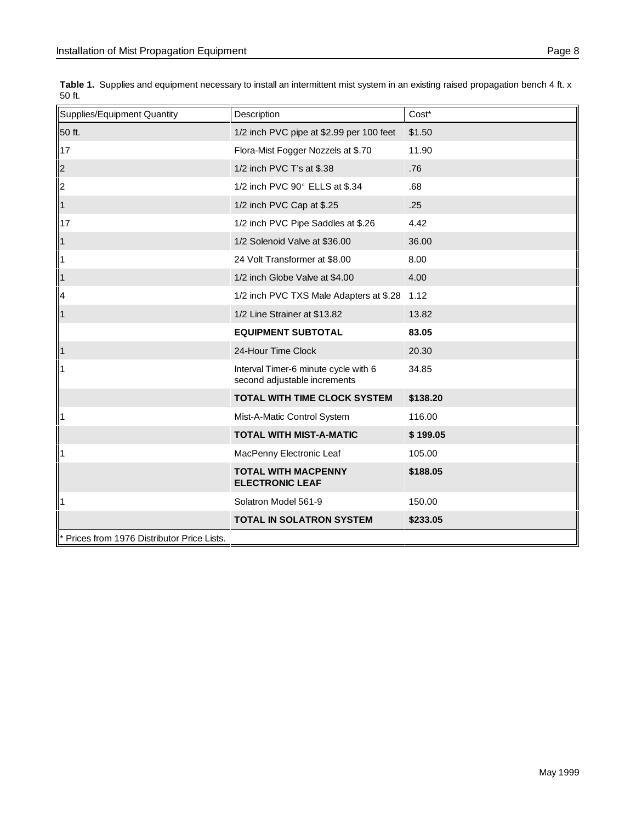| Supplies/Equipment Quantity                 | Description                                                          | Cost*    |
|---------------------------------------------|----------------------------------------------------------------------|----------|
| 50 ft.                                      | 1/2 inch PVC pipe at \$2.99 per 100 feet                             | \$1.50   |
| 17                                          | Flora-Mist Fogger Nozzels at \$.70                                   | 11.90    |
| $\vert$ <sub>2</sub>                        | 1/2 inch PVC T's at \$.38                                            | .76      |
| 2                                           | 1/2 inch PVC 90° ELLS at \$.34                                       | .68      |
| $\vert$ 1                                   | 1/2 inch PVC Cap at \$.25                                            | .25      |
| 17                                          | 1/2 inch PVC Pipe Saddles at \$.26                                   | 4.42     |
| $\vert$ 1                                   | 1/2 Solenoid Valve at \$36.00                                        | 36.00    |
| $\vert$ 1                                   | 24 Volt Transformer at \$8.00                                        | 8.00     |
| $\vert$ 1                                   | 1/2 inch Globe Valve at \$4.00                                       | 4.00     |
| $\vert$ 4                                   | 1/2 inch PVC TXS Male Adapters at \$.28                              | 1.12     |
| $\vert$ 1                                   | 1/2 Line Strainer at \$13.82                                         | 13.82    |
|                                             | <b>EQUIPMENT SUBTOTAL</b>                                            | 83.05    |
| $\vert$ 1                                   | 24-Hour Time Clock                                                   | 20.30    |
| $\vert$ 1                                   | Interval Timer-6 minute cycle with 6<br>second adjustable increments | 34.85    |
|                                             | TOTAL WITH TIME CLOCK SYSTEM                                         | \$138.20 |
| $\vert$ 1                                   | Mist-A-Matic Control System                                          | 116.00   |
|                                             | <b>TOTAL WITH MIST-A-MATIC</b>                                       | \$199.05 |
| $\vert$ 1                                   | MacPenny Electronic Leaf                                             | 105.00   |
|                                             | <b>TOTAL WITH MACPENNY</b><br><b>ELECTRONIC LEAF</b>                 | \$188.05 |
| 11                                          | Solatron Model 561-9                                                 | 150.00   |
|                                             | <b>TOTAL IN SOLATRON SYSTEM</b>                                      | \$233.05 |
| * Prices from 1976 Distributor Price Lists. |                                                                      |          |

Table 1. Supplies and equipment necessary to install an intermittent mist system in an existing raised propagation bench 4 ft. x 50 ft.